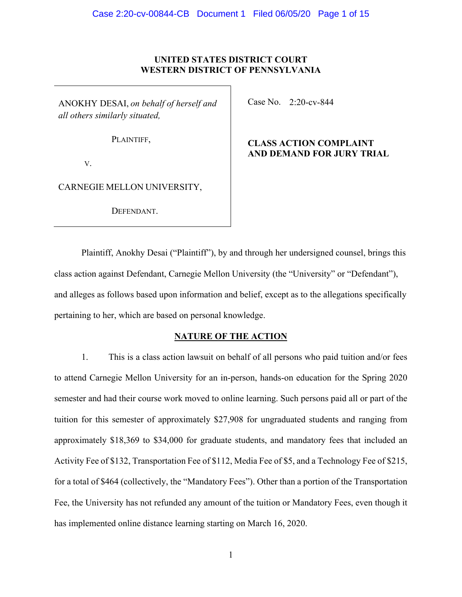### **UNITED STATES DISTRICT COURT WESTERN DISTRICT OF PENNSYLVANIA**

ANOKHY DESAI, *on behalf of herself and all others similarly situated,*

Case No. 2:20-cv-844

PLAINTIFF,

**CLASS ACTION COMPLAINT AND DEMAND FOR JURY TRIAL**

V.

CARNEGIE MELLON UNIVERSITY,

DEFENDANT.

Plaintiff, Anokhy Desai ("Plaintiff"), by and through her undersigned counsel, brings this class action against Defendant, Carnegie Mellon University (the "University" or "Defendant"), and alleges as follows based upon information and belief, except as to the allegations specifically pertaining to her, which are based on personal knowledge.

### **NATURE OF THE ACTION**

1. This is a class action lawsuit on behalf of all persons who paid tuition and/or fees to attend Carnegie Mellon University for an in-person, hands-on education for the Spring 2020 semester and had their course work moved to online learning. Such persons paid all or part of the tuition for this semester of approximately \$27,908 for ungraduated students and ranging from approximately \$18,369 to \$34,000 for graduate students, and mandatory fees that included an Activity Fee of \$132, Transportation Fee of \$112, Media Fee of \$5, and a Technology Fee of \$215, for a total of \$464 (collectively, the "Mandatory Fees"). Other than a portion of the Transportation Fee, the University has not refunded any amount of the tuition or Mandatory Fees, even though it has implemented online distance learning starting on March 16, 2020.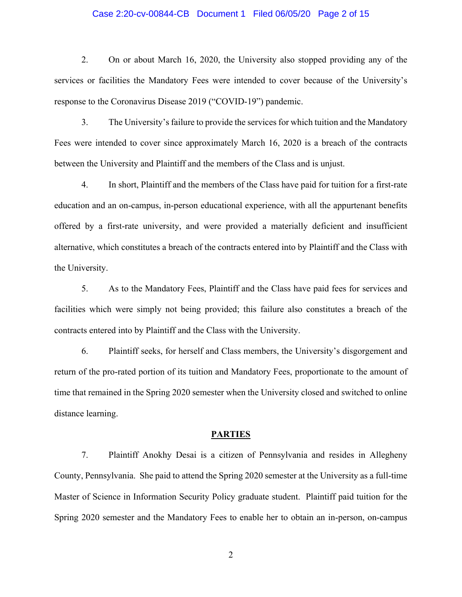### Case 2:20-cv-00844-CB Document 1 Filed 06/05/20 Page 2 of 15

2. On or about March 16, 2020, the University also stopped providing any of the services or facilities the Mandatory Fees were intended to cover because of the University's response to the Coronavirus Disease 2019 ("COVID-19") pandemic.

3. The University's failure to provide the services for which tuition and the Mandatory Fees were intended to cover since approximately March 16, 2020 is a breach of the contracts between the University and Plaintiff and the members of the Class and is unjust.

4. In short, Plaintiff and the members of the Class have paid for tuition for a first-rate education and an on-campus, in-person educational experience, with all the appurtenant benefits offered by a first-rate university, and were provided a materially deficient and insufficient alternative, which constitutes a breach of the contracts entered into by Plaintiff and the Class with the University.

5. As to the Mandatory Fees, Plaintiff and the Class have paid fees for services and facilities which were simply not being provided; this failure also constitutes a breach of the contracts entered into by Plaintiff and the Class with the University.

6. Plaintiff seeks, for herself and Class members, the University's disgorgement and return of the pro-rated portion of its tuition and Mandatory Fees, proportionate to the amount of time that remained in the Spring 2020 semester when the University closed and switched to online distance learning.

#### **PARTIES**

7. Plaintiff Anokhy Desai is a citizen of Pennsylvania and resides in Allegheny County, Pennsylvania. She paid to attend the Spring 2020 semester at the University as a full-time Master of Science in Information Security Policy graduate student. Plaintiff paid tuition for the Spring 2020 semester and the Mandatory Fees to enable her to obtain an in-person, on-campus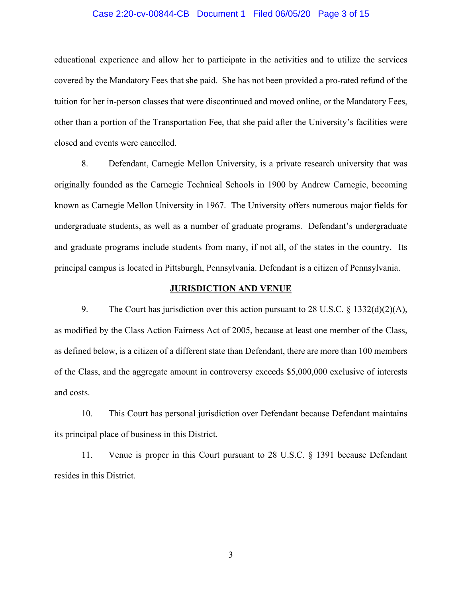### Case 2:20-cv-00844-CB Document 1 Filed 06/05/20 Page 3 of 15

educational experience and allow her to participate in the activities and to utilize the services covered by the Mandatory Fees that she paid. She has not been provided a pro-rated refund of the tuition for her in-person classes that were discontinued and moved online, or the Mandatory Fees, other than a portion of the Transportation Fee, that she paid after the University's facilities were closed and events were cancelled.

8. Defendant, Carnegie Mellon University, is a private research university that was originally founded as the Carnegie Technical Schools in 1900 by Andrew Carnegie, becoming known as Carnegie Mellon University in 1967. The University offers numerous major fields for undergraduate students, as well as a number of graduate programs. Defendant's undergraduate and graduate programs include students from many, if not all, of the states in the country. Its principal campus is located in Pittsburgh, Pennsylvania. Defendant is a citizen of Pennsylvania.

### **JURISDICTION AND VENUE**

9. The Court has jurisdiction over this action pursuant to 28 U.S.C. § 1332(d)(2)(A), as modified by the Class Action Fairness Act of 2005, because at least one member of the Class, as defined below, is a citizen of a different state than Defendant, there are more than 100 members of the Class, and the aggregate amount in controversy exceeds \$5,000,000 exclusive of interests and costs.

10. This Court has personal jurisdiction over Defendant because Defendant maintains its principal place of business in this District.

11. Venue is proper in this Court pursuant to 28 U.S.C. § 1391 because Defendant resides in this District.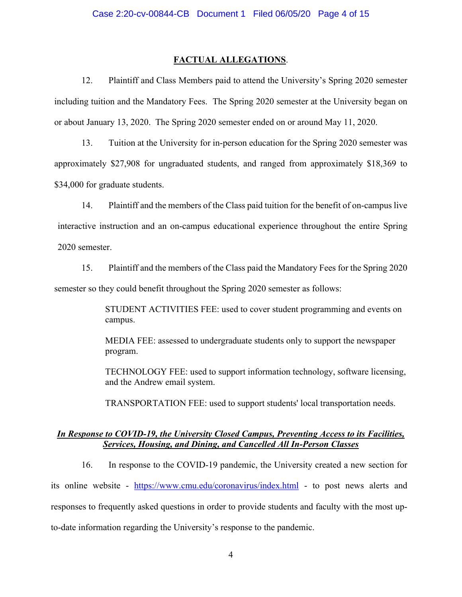### **FACTUAL ALLEGATIONS**.

12. Plaintiff and Class Members paid to attend the University's Spring 2020 semester including tuition and the Mandatory Fees. The Spring 2020 semester at the University began on or about January 13, 2020. The Spring 2020 semester ended on or around May 11, 2020.

13. Tuition at the University for in-person education for the Spring 2020 semester was approximately \$27,908 for ungraduated students, and ranged from approximately \$18,369 to \$34,000 for graduate students.

14. Plaintiff and the members of the Class paid tuition for the benefit of on-campus live interactive instruction and an on-campus educational experience throughout the entire Spring 2020 semester.

15. Plaintiff and the members of the Class paid the Mandatory Fees for the Spring 2020 semester so they could benefit throughout the Spring 2020 semester as follows:

> STUDENT ACTIVITIES FEE: used to cover student programming and events on campus.

MEDIA FEE: assessed to undergraduate students only to support the newspaper program.

TECHNOLOGY FEE: used to support information technology, software licensing, and the Andrew email system.

TRANSPORTATION FEE: used to support students' local transportation needs.

### *In Response to COVID-19, the University Closed Campus, Preventing Access to its Facilities, Services, Housing, and Dining, and Cancelled All In-Person Classes*

16. In response to the COVID-19 pandemic, the University created a new section for its online website - <https://www.cmu.edu/coronavirus/index.html> - to post news alerts and responses to frequently asked questions in order to provide students and faculty with the most upto-date information regarding the University's response to the pandemic.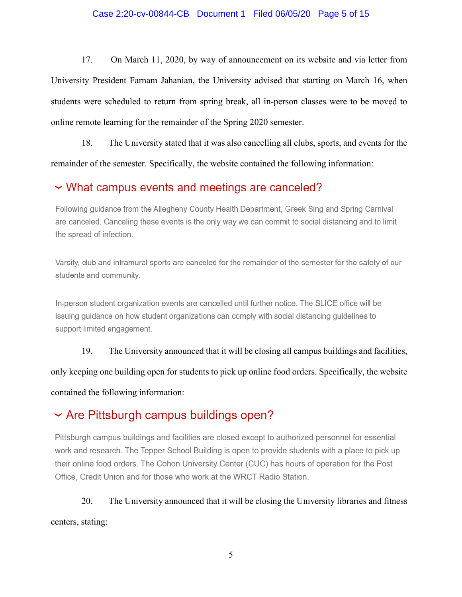### Case 2:20-cv-00844-CB Document 1 Filed 06/05/20 Page 5 of 15

17. On March 11, 2020, by way of announcement on its website and via letter from University President Farnam Jahanian, the University advised that starting on March 16, when students were scheduled to return from spring break, all in-person classes were to be moved to online remote learning for the remainder of the Spring 2020 semester.

18. The University stated that it was also cancelling all clubs, sports, and events for the remainder of the semester. Specifically, the website contained the following information:

### V What campus events and meetings are canceled?

Following guidance from the Allegheny County Health Department, Greek Sing and Spring Carnival are canceled. Canceling these events is the only way we can commit to social distancing and to limit the spread of infection.

Varsity, club and intramural sports are canceled for the remainder of the semester for the safety of our students and community.

In-person student organization events are cancelled until further notice. The SLICE office will be issuing guidance on how student organizations can comply with social distancing guidelines to support limited engagement.

19. The University announced that it will be closing all campus buildings and facilities, only keeping one building open for students to pick up online food orders. Specifically, the website contained the following information:

### $\sim$  Are Pittsburgh campus buildings open?

Pittsburgh campus buildings and facilities are closed except to authorized personnel for essential work and research. The Tepper School Building is open to provide students with a place to pick up their online food orders. The Cohon University Center (CUC) has hours of operation for the Post Office, Credit Union and for those who work at the WRCT Radio Station.

20. The University announced that it will be closing the University libraries and fitness centers, stating: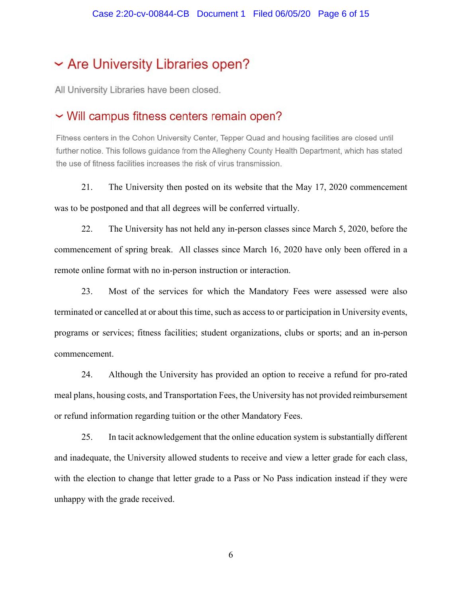### ~ Are University Libraries open?

All University Libraries have been closed.

### V Will campus fitness centers remain open?

Fitness centers in the Cohon University Center, Tepper Quad and housing facilities are closed until further notice. This follows guidance from the Allegheny County Health Department, which has stated the use of fitness facilities increases the risk of virus transmission.

21. The University then posted on its website that the May 17, 2020 commencement was to be postponed and that all degrees will be conferred virtually.

22. The University has not held any in-person classes since March 5, 2020, before the commencement of spring break. All classes since March 16, 2020 have only been offered in a remote online format with no in-person instruction or interaction.

23. Most of the services for which the Mandatory Fees were assessed were also terminated or cancelled at or about this time, such as access to or participation in University events, programs or services; fitness facilities; student organizations, clubs or sports; and an in-person commencement.

24. Although the University has provided an option to receive a refund for pro-rated meal plans, housing costs, and Transportation Fees, the University has not provided reimbursement or refund information regarding tuition or the other Mandatory Fees.

25. In tacit acknowledgement that the online education system is substantially different and inadequate, the University allowed students to receive and view a letter grade for each class, with the election to change that letter grade to a Pass or No Pass indication instead if they were unhappy with the grade received.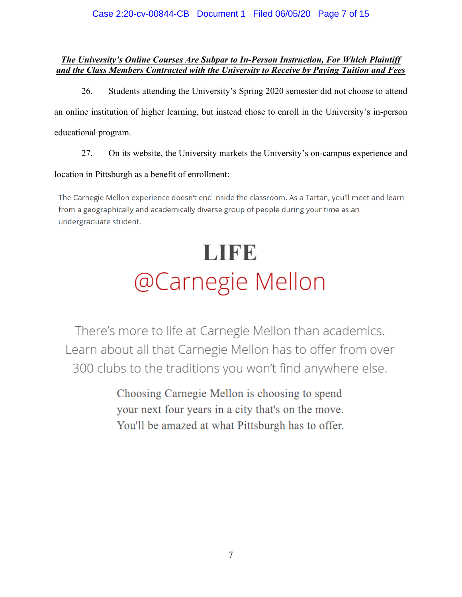### Case 2:20-cv-00844-CB Document 1 Filed 06/05/20 Page 7 of 15

### *The University's Online Courses Are Subpar to In-Person Instruction, For Which Plaintiff and the Class Members Contracted with the University to Receive by Paying Tuition and Fees*

26. Students attending the University's Spring 2020 semester did not choose to attend an online institution of higher learning, but instead chose to enroll in the University's in-person educational program.

27. On its website, the University markets the University's on-campus experience and

### location in Pittsburgh as a benefit of enrollment:

The Carnegie Mellon experience doesn't end inside the classroom. As a Tartan, you'll meet and learn from a geographically and academically diverse group of people during your time as an undergraduate student.

# LIFE @Carnegie Mellon

There's more to life at Carnegie Mellon than academics. Learn about all that Carnegie Mellon has to offer from over 300 clubs to the traditions you won't find anywhere else.

> Choosing Carnegie Mellon is choosing to spend your next four years in a city that's on the move. You'll be amazed at what Pittsburgh has to offer.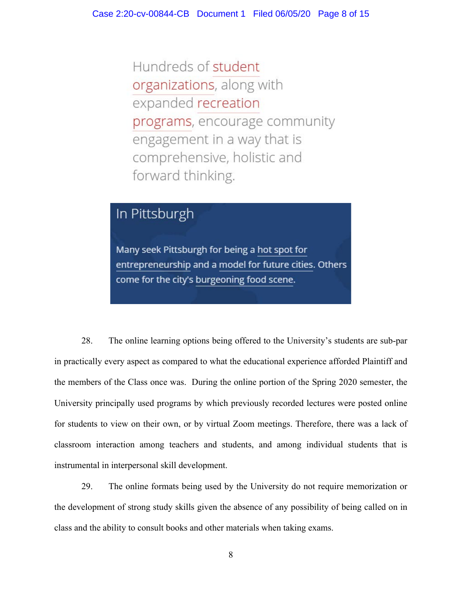Hundreds of student organizations, along with expanded recreation programs, encourage community engagement in a way that is comprehensive, holistic and forward thinking.

### In Pittsburgh

Many seek Pittsburgh for being a hot spot for entrepreneurship and a model for future cities. Others come for the city's burgeoning food scene.

28. The online learning options being offered to the University's students are sub-par in practically every aspect as compared to what the educational experience afforded Plaintiff and the members of the Class once was. During the online portion of the Spring 2020 semester, the University principally used programs by which previously recorded lectures were posted online for students to view on their own, or by virtual Zoom meetings. Therefore, there was a lack of classroom interaction among teachers and students, and among individual students that is instrumental in interpersonal skill development.

29. The online formats being used by the University do not require memorization or the development of strong study skills given the absence of any possibility of being called on in class and the ability to consult books and other materials when taking exams.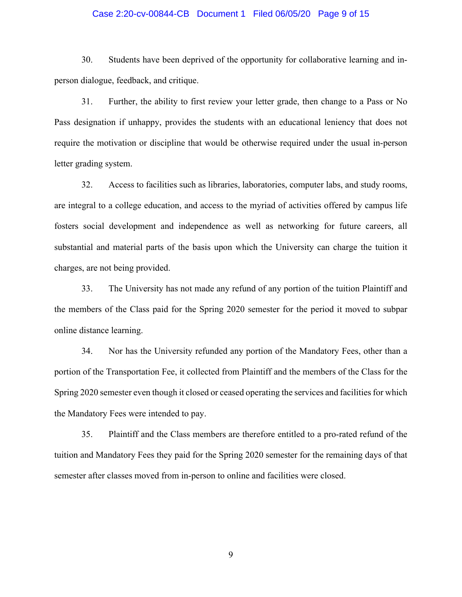### Case 2:20-cv-00844-CB Document 1 Filed 06/05/20 Page 9 of 15

30. Students have been deprived of the opportunity for collaborative learning and inperson dialogue, feedback, and critique.

31. Further, the ability to first review your letter grade, then change to a Pass or No Pass designation if unhappy, provides the students with an educational leniency that does not require the motivation or discipline that would be otherwise required under the usual in-person letter grading system.

32. Access to facilities such as libraries, laboratories, computer labs, and study rooms, are integral to a college education, and access to the myriad of activities offered by campus life fosters social development and independence as well as networking for future careers, all substantial and material parts of the basis upon which the University can charge the tuition it charges, are not being provided.

33. The University has not made any refund of any portion of the tuition Plaintiff and the members of the Class paid for the Spring 2020 semester for the period it moved to subpar online distance learning.

34. Nor has the University refunded any portion of the Mandatory Fees, other than a portion of the Transportation Fee, it collected from Plaintiff and the members of the Class for the Spring 2020 semester even though it closed or ceased operating the services and facilities for which the Mandatory Fees were intended to pay.

35. Plaintiff and the Class members are therefore entitled to a pro-rated refund of the tuition and Mandatory Fees they paid for the Spring 2020 semester for the remaining days of that semester after classes moved from in-person to online and facilities were closed.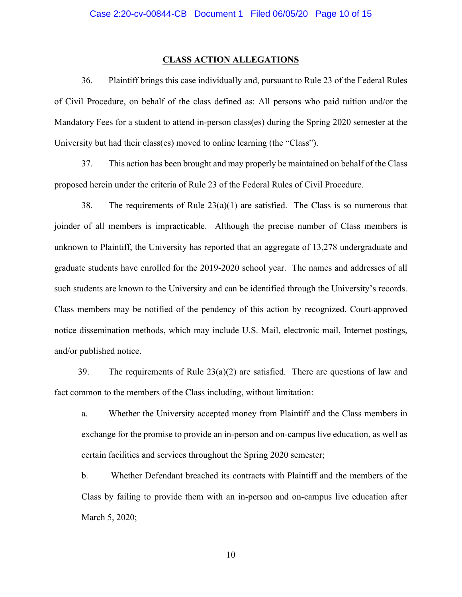#### **CLASS ACTION ALLEGATIONS**

36. Plaintiff brings this case individually and, pursuant to Rule 23 of the Federal Rules of Civil Procedure, on behalf of the class defined as: All persons who paid tuition and/or the Mandatory Fees for a student to attend in-person class(es) during the Spring 2020 semester at the University but had their class(es) moved to online learning (the "Class").

37. This action has been brought and may properly be maintained on behalf of the Class proposed herein under the criteria of Rule 23 of the Federal Rules of Civil Procedure.

38. The requirements of Rule  $23(a)(1)$  are satisfied. The Class is so numerous that joinder of all members is impracticable. Although the precise number of Class members is unknown to Plaintiff, the University has reported that an aggregate of 13,278 undergraduate and graduate students have enrolled for the 2019-2020 school year. The names and addresses of all such students are known to the University and can be identified through the University's records. Class members may be notified of the pendency of this action by recognized, Court-approved notice dissemination methods, which may include U.S. Mail, electronic mail, Internet postings, and/or published notice.

39. The requirements of Rule  $23(a)(2)$  are satisfied. There are questions of law and fact common to the members of the Class including, without limitation:

a. Whether the University accepted money from Plaintiff and the Class members in exchange for the promise to provide an in-person and on-campus live education, as well as certain facilities and services throughout the Spring 2020 semester;

b. Whether Defendant breached its contracts with Plaintiff and the members of the Class by failing to provide them with an in-person and on-campus live education after March 5, 2020;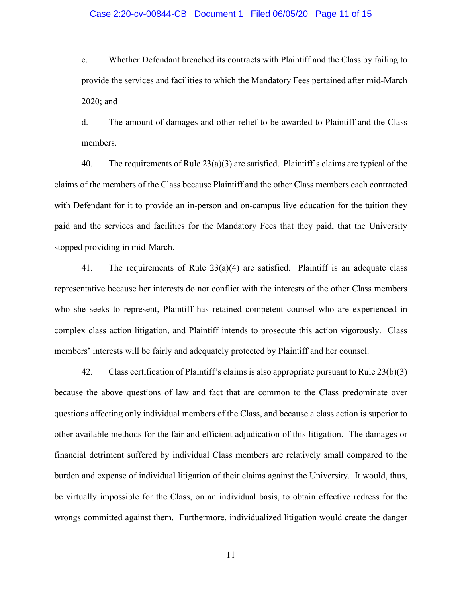### Case 2:20-cv-00844-CB Document 1 Filed 06/05/20 Page 11 of 15

c. Whether Defendant breached its contracts with Plaintiff and the Class by failing to provide the services and facilities to which the Mandatory Fees pertained after mid-March 2020; and

d. The amount of damages and other relief to be awarded to Plaintiff and the Class members.

40. The requirements of Rule  $23(a)(3)$  are satisfied. Plaintiff's claims are typical of the claims of the members of the Class because Plaintiff and the other Class members each contracted with Defendant for it to provide an in-person and on-campus live education for the tuition they paid and the services and facilities for the Mandatory Fees that they paid, that the University stopped providing in mid-March.

41. The requirements of Rule  $23(a)(4)$  are satisfied. Plaintiff is an adequate class representative because her interests do not conflict with the interests of the other Class members who she seeks to represent, Plaintiff has retained competent counsel who are experienced in complex class action litigation, and Plaintiff intends to prosecute this action vigorously. Class members' interests will be fairly and adequately protected by Plaintiff and her counsel.

42. Class certification of Plaintiff's claims is also appropriate pursuant to Rule 23(b)(3) because the above questions of law and fact that are common to the Class predominate over questions affecting only individual members of the Class, and because a class action is superior to other available methods for the fair and efficient adjudication of this litigation. The damages or financial detriment suffered by individual Class members are relatively small compared to the burden and expense of individual litigation of their claims against the University. It would, thus, be virtually impossible for the Class, on an individual basis, to obtain effective redress for the wrongs committed against them. Furthermore, individualized litigation would create the danger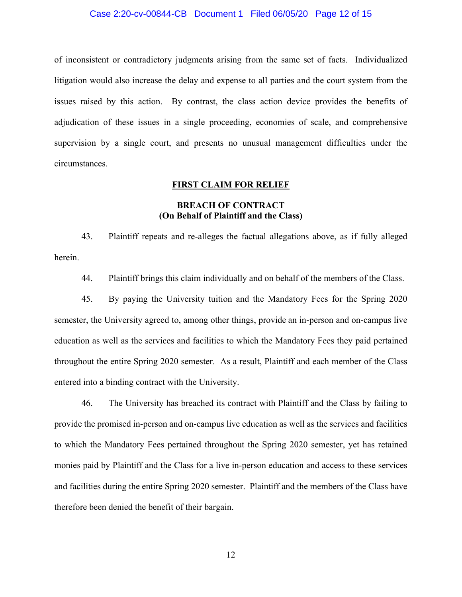### Case 2:20-cv-00844-CB Document 1 Filed 06/05/20 Page 12 of 15

of inconsistent or contradictory judgments arising from the same set of facts. Individualized litigation would also increase the delay and expense to all parties and the court system from the issues raised by this action. By contrast, the class action device provides the benefits of adjudication of these issues in a single proceeding, economies of scale, and comprehensive supervision by a single court, and presents no unusual management difficulties under the circumstances.

### **FIRST CLAIM FOR RELIEF**

### **BREACH OF CONTRACT (On Behalf of Plaintiff and the Class)**

43. Plaintiff repeats and re-alleges the factual allegations above, as if fully alleged herein.

44. Plaintiff brings this claim individually and on behalf of the members of the Class.

45. By paying the University tuition and the Mandatory Fees for the Spring 2020 semester, the University agreed to, among other things, provide an in-person and on-campus live education as well as the services and facilities to which the Mandatory Fees they paid pertained throughout the entire Spring 2020 semester. As a result, Plaintiff and each member of the Class entered into a binding contract with the University.

46. The University has breached its contract with Plaintiff and the Class by failing to provide the promised in-person and on-campus live education as well as the services and facilities to which the Mandatory Fees pertained throughout the Spring 2020 semester, yet has retained monies paid by Plaintiff and the Class for a live in-person education and access to these services and facilities during the entire Spring 2020 semester. Plaintiff and the members of the Class have therefore been denied the benefit of their bargain.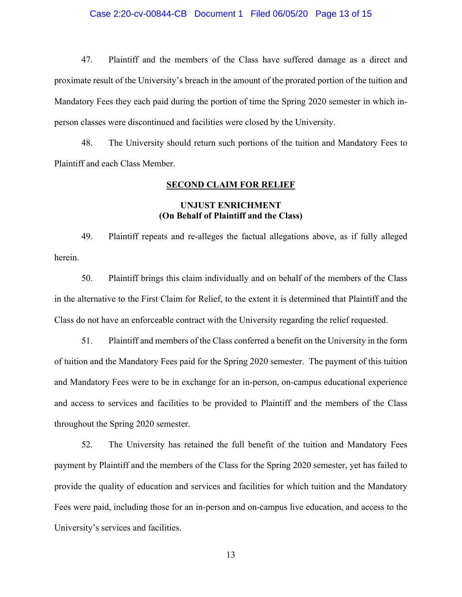### Case 2:20-cv-00844-CB Document 1 Filed 06/05/20 Page 13 of 15

47. Plaintiff and the members of the Class have suffered damage as a direct and proximate result of the University's breach in the amount of the prorated portion of the tuition and Mandatory Fees they each paid during the portion of time the Spring 2020 semester in which inperson classes were discontinued and facilities were closed by the University.

48. The University should return such portions of the tuition and Mandatory Fees to Plaintiff and each Class Member.

### **SECOND CLAIM FOR RELIEF**

### **UNJUST ENRICHMENT (On Behalf of Plaintiff and the Class)**

49. Plaintiff repeats and re-alleges the factual allegations above, as if fully alleged herein.

50. Plaintiff brings this claim individually and on behalf of the members of the Class in the alternative to the First Claim for Relief, to the extent it is determined that Plaintiff and the Class do not have an enforceable contract with the University regarding the relief requested.

51. Plaintiff and members of the Class conferred a benefit on the University in the form of tuition and the Mandatory Fees paid for the Spring 2020 semester. The payment of this tuition and Mandatory Fees were to be in exchange for an in-person, on-campus educational experience and access to services and facilities to be provided to Plaintiff and the members of the Class throughout the Spring 2020 semester.

52. The University has retained the full benefit of the tuition and Mandatory Fees payment by Plaintiff and the members of the Class for the Spring 2020 semester, yet has failed to provide the quality of education and services and facilities for which tuition and the Mandatory Fees were paid, including those for an in-person and on-campus live education, and access to the University's services and facilities.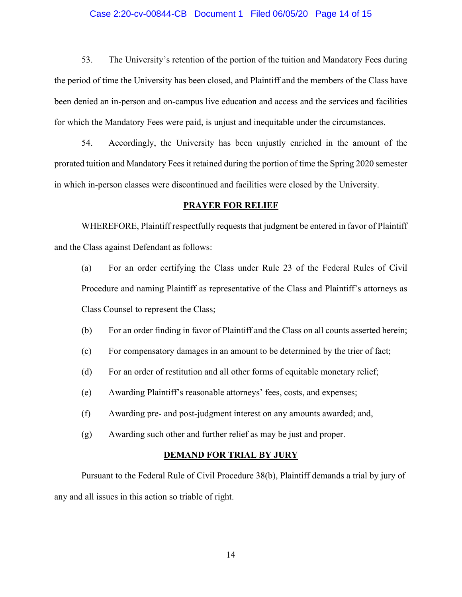### Case 2:20-cv-00844-CB Document 1 Filed 06/05/20 Page 14 of 15

53. The University's retention of the portion of the tuition and Mandatory Fees during the period of time the University has been closed, and Plaintiff and the members of the Class have been denied an in-person and on-campus live education and access and the services and facilities for which the Mandatory Fees were paid, is unjust and inequitable under the circumstances.

54. Accordingly, the University has been unjustly enriched in the amount of the prorated tuition and Mandatory Feesit retained during the portion of time the Spring 2020 semester in which in-person classes were discontinued and facilities were closed by the University.

### **PRAYER FOR RELIEF**

WHEREFORE, Plaintiff respectfully requests that judgment be entered in favor of Plaintiff and the Class against Defendant as follows:

(a) For an order certifying the Class under Rule 23 of the Federal Rules of Civil Procedure and naming Plaintiff as representative of the Class and Plaintiff's attorneys as Class Counsel to represent the Class;

- (b) For an order finding in favor of Plaintiff and the Class on all counts asserted herein;
- (c) For compensatory damages in an amount to be determined by the trier of fact;
- (d) For an order of restitution and all other forms of equitable monetary relief;
- (e) Awarding Plaintiff's reasonable attorneys' fees, costs, and expenses;
- (f) Awarding pre- and post-judgment interest on any amounts awarded; and,
- (g) Awarding such other and further relief as may be just and proper.

#### **DEMAND FOR TRIAL BY JURY**

Pursuant to the Federal Rule of Civil Procedure 38(b), Plaintiff demands a trial by jury of any and all issues in this action so triable of right.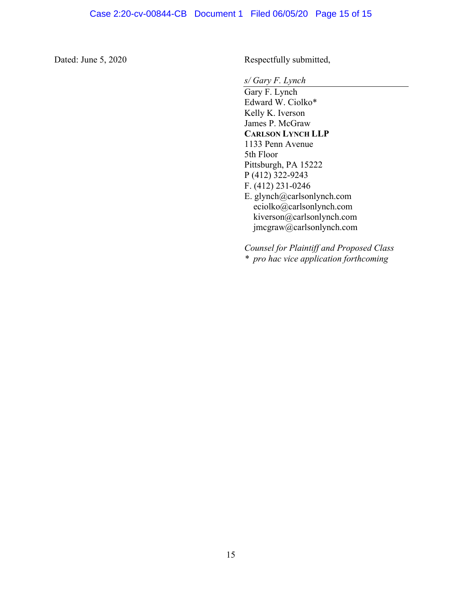Dated: June 5, 2020 Respectfully submitted,

*s/ Gary F. Lynch*

Gary F. Lynch Edward W. Ciolko\* Kelly K. Iverson James P. McGraw **CARLSON LYNCH LLP** 1133 Penn Avenue 5th Floor Pittsburgh, PA 15222 P (412) 322-9243 F. (412) 231-0246 E. glynch@carlsonlynch.com [eciolko@carlsonlynch.com](mailto:eciolko@carlsonlynch.com) [kiverson@carlsonlynch.com](mailto:kiverson@carlsonlynch.com) jmcgraw@carlsonlynch.com

*Counsel for Plaintiff and Proposed Class \* pro hac vice application forthcoming*